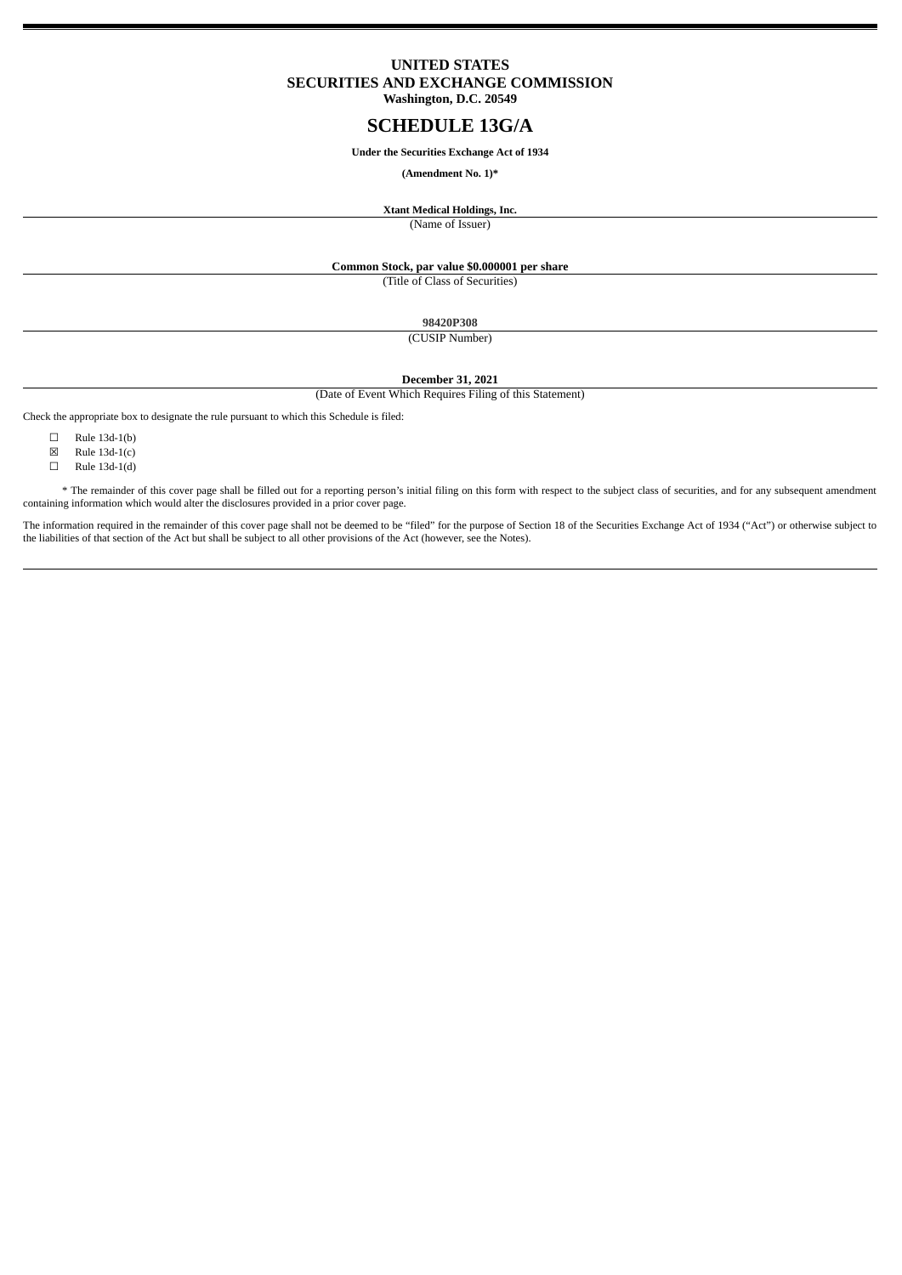## <span id="page-0-0"></span>**UNITED STATES SECURITIES AND EXCHANGE COMMISSION Washington, D.C. 20549**

# **SCHEDULE 13G/A**

#### **Under the Securities Exchange Act of 1934**

## **(Amendment No. 1)\***

**Xtant Medical Holdings, Inc.** (Name of Issuer)

## **Common Stock, par value \$0.000001 per share**

(Title of Class of Securities)

**98420P308**

(CUSIP Number)

**December 31, 2021**

(Date of Event Which Requires Filing of this Statement)

Check the appropriate box to designate the rule pursuant to which this Schedule is filed:

 $\Box$  Rule 13d-1(b)

- $\boxtimes$  Rule 13d-1(c)
- ☐ Rule 13d-1(d)

\* The remainder of this cover page shall be filled out for a reporting person's initial filing on this form with respect to the subject class of securities, and for any subsequent amendment containing information which would alter the disclosures provided in a prior cover page.

The information required in the remainder of this cover page shall not be deemed to be "filed" for the purpose of Section 18 of the Securities Exchange Act of 1934 ("Act") or otherwise subject to the liabilities of that section of the Act but shall be subject to all other provisions of the Act (however, see the Notes).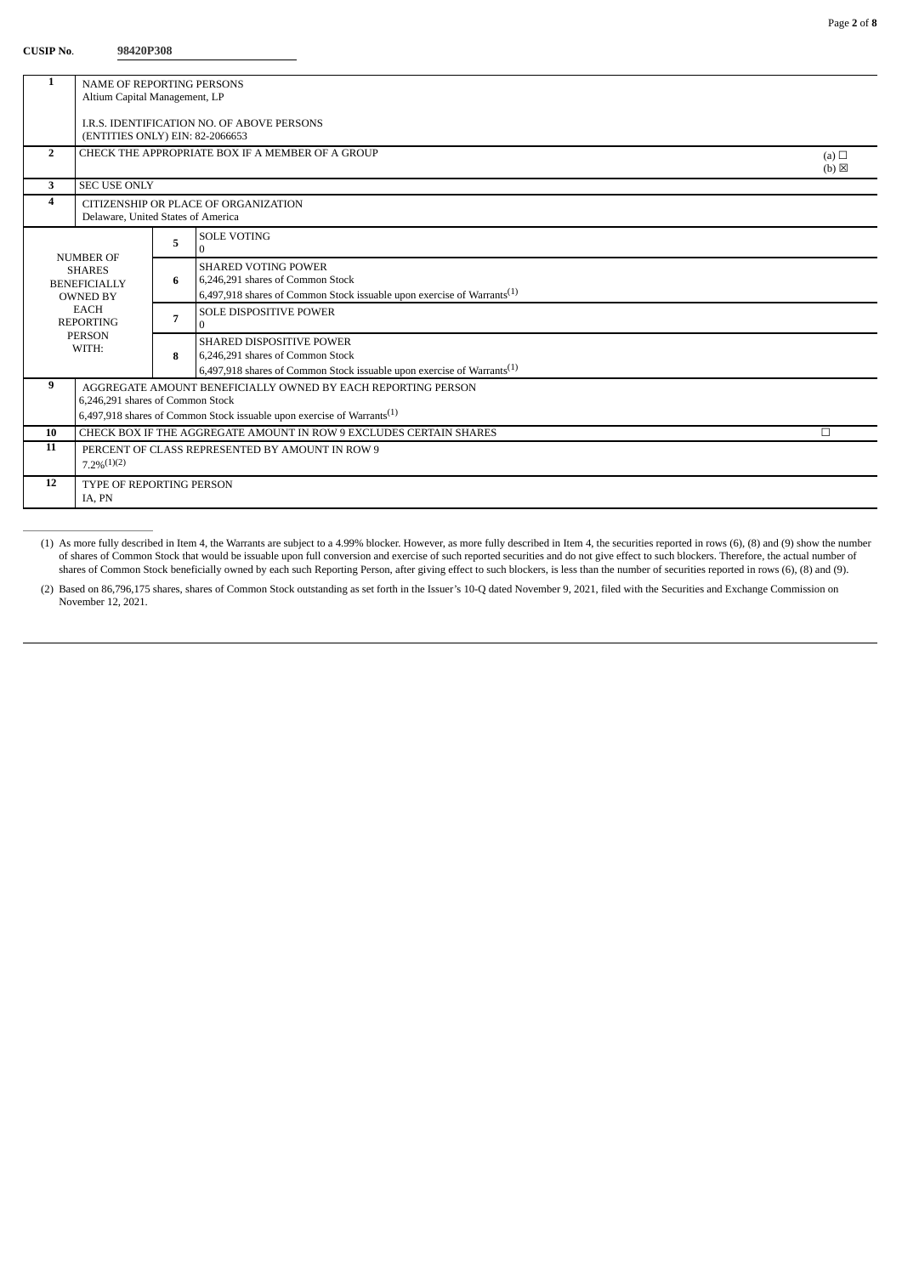## **CUSIP No**. **98420P308**

| <b>NAME OF REPORTING PERSONS</b>                |                                                                                                     |                                       |                                                                                                                                                                                                                                                                                                                                                                                                                                                                                                                                                                                                                                                                                                                                                                   |  |
|-------------------------------------------------|-----------------------------------------------------------------------------------------------------|---------------------------------------|-------------------------------------------------------------------------------------------------------------------------------------------------------------------------------------------------------------------------------------------------------------------------------------------------------------------------------------------------------------------------------------------------------------------------------------------------------------------------------------------------------------------------------------------------------------------------------------------------------------------------------------------------------------------------------------------------------------------------------------------------------------------|--|
| Altium Capital Management, LP                   |                                                                                                     |                                       |                                                                                                                                                                                                                                                                                                                                                                                                                                                                                                                                                                                                                                                                                                                                                                   |  |
|                                                 |                                                                                                     |                                       |                                                                                                                                                                                                                                                                                                                                                                                                                                                                                                                                                                                                                                                                                                                                                                   |  |
|                                                 |                                                                                                     |                                       |                                                                                                                                                                                                                                                                                                                                                                                                                                                                                                                                                                                                                                                                                                                                                                   |  |
|                                                 |                                                                                                     |                                       |                                                                                                                                                                                                                                                                                                                                                                                                                                                                                                                                                                                                                                                                                                                                                                   |  |
| $\overline{2}$<br>(a) $\Box$<br>$(b) \boxtimes$ |                                                                                                     |                                       |                                                                                                                                                                                                                                                                                                                                                                                                                                                                                                                                                                                                                                                                                                                                                                   |  |
|                                                 |                                                                                                     |                                       |                                                                                                                                                                                                                                                                                                                                                                                                                                                                                                                                                                                                                                                                                                                                                                   |  |
|                                                 |                                                                                                     |                                       |                                                                                                                                                                                                                                                                                                                                                                                                                                                                                                                                                                                                                                                                                                                                                                   |  |
|                                                 |                                                                                                     |                                       |                                                                                                                                                                                                                                                                                                                                                                                                                                                                                                                                                                                                                                                                                                                                                                   |  |
|                                                 |                                                                                                     |                                       |                                                                                                                                                                                                                                                                                                                                                                                                                                                                                                                                                                                                                                                                                                                                                                   |  |
|                                                 | 5                                                                                                   | $\Omega$                              |                                                                                                                                                                                                                                                                                                                                                                                                                                                                                                                                                                                                                                                                                                                                                                   |  |
|                                                 |                                                                                                     |                                       |                                                                                                                                                                                                                                                                                                                                                                                                                                                                                                                                                                                                                                                                                                                                                                   |  |
|                                                 | 6                                                                                                   | 6.246.291 shares of Common Stock      |                                                                                                                                                                                                                                                                                                                                                                                                                                                                                                                                                                                                                                                                                                                                                                   |  |
| <b>OWNED BY</b>                                 |                                                                                                     |                                       |                                                                                                                                                                                                                                                                                                                                                                                                                                                                                                                                                                                                                                                                                                                                                                   |  |
| <b>EACH</b>                                     |                                                                                                     | <b>SOLE DISPOSITIVE POWER</b>         |                                                                                                                                                                                                                                                                                                                                                                                                                                                                                                                                                                                                                                                                                                                                                                   |  |
| <b>REPORTING</b>                                |                                                                                                     | $\Omega$                              |                                                                                                                                                                                                                                                                                                                                                                                                                                                                                                                                                                                                                                                                                                                                                                   |  |
|                                                 |                                                                                                     | <b>SHARED DISPOSITIVE POWER</b>       |                                                                                                                                                                                                                                                                                                                                                                                                                                                                                                                                                                                                                                                                                                                                                                   |  |
|                                                 | 8                                                                                                   | 6,246,291 shares of Common Stock      |                                                                                                                                                                                                                                                                                                                                                                                                                                                                                                                                                                                                                                                                                                                                                                   |  |
|                                                 |                                                                                                     |                                       |                                                                                                                                                                                                                                                                                                                                                                                                                                                                                                                                                                                                                                                                                                                                                                   |  |
|                                                 |                                                                                                     |                                       |                                                                                                                                                                                                                                                                                                                                                                                                                                                                                                                                                                                                                                                                                                                                                                   |  |
| 6,246,291 shares of Common Stock                |                                                                                                     |                                       |                                                                                                                                                                                                                                                                                                                                                                                                                                                                                                                                                                                                                                                                                                                                                                   |  |
|                                                 |                                                                                                     |                                       |                                                                                                                                                                                                                                                                                                                                                                                                                                                                                                                                                                                                                                                                                                                                                                   |  |
|                                                 |                                                                                                     |                                       | П                                                                                                                                                                                                                                                                                                                                                                                                                                                                                                                                                                                                                                                                                                                                                                 |  |
|                                                 |                                                                                                     |                                       |                                                                                                                                                                                                                                                                                                                                                                                                                                                                                                                                                                                                                                                                                                                                                                   |  |
|                                                 |                                                                                                     |                                       |                                                                                                                                                                                                                                                                                                                                                                                                                                                                                                                                                                                                                                                                                                                                                                   |  |
|                                                 |                                                                                                     |                                       |                                                                                                                                                                                                                                                                                                                                                                                                                                                                                                                                                                                                                                                                                                                                                                   |  |
| IA. PN                                          |                                                                                                     |                                       |                                                                                                                                                                                                                                                                                                                                                                                                                                                                                                                                                                                                                                                                                                                                                                   |  |
|                                                 | <b>NUMBER OF</b><br><b>SHARES</b><br><b>BENEFICIALLY</b><br><b>PERSON</b><br>WITH:<br>$7.2\%/1)(2)$ | <b>SEC USE ONLY</b><br>$\overline{7}$ | I.R.S. IDENTIFICATION NO. OF ABOVE PERSONS<br>(ENTITIES ONLY) EIN: 82-2066653<br>CHECK THE APPROPRIATE BOX IF A MEMBER OF A GROUP<br>CITIZENSHIP OR PLACE OF ORGANIZATION<br>Delaware, United States of America<br><b>SOLE VOTING</b><br><b>SHARED VOTING POWER</b><br>6,497,918 shares of Common Stock issuable upon exercise of Warrants <sup>(1)</sup><br>6,497,918 shares of Common Stock issuable upon exercise of Warrants <sup>(1)</sup><br>AGGREGATE AMOUNT BENEFICIALLY OWNED BY EACH REPORTING PERSON<br>6,497,918 shares of Common Stock issuable upon exercise of Warrants <sup>(1)</sup><br>CHECK BOX IF THE AGGREGATE AMOUNT IN ROW 9 EXCLUDES CERTAIN SHARES<br>PERCENT OF CLASS REPRESENTED BY AMOUNT IN ROW 9<br><b>TYPE OF REPORTING PERSON</b> |  |

(1) As more fully described in Item 4, the Warrants are subject to a 4.99% blocker. However, as more fully described in Item 4, the securities reported in rows (6), (8) and (9) show the number of shares of Common Stock that would be issuable upon full conversion and exercise of such reported securities and do not give effect to such blockers. Therefore, the actual number of shares of Common Stock beneficially owned by each such Reporting Person, after giving effect to such blockers, is less than the number of securities reported in rows (6), (8) and (9).

(2) Based on 86,796,175 shares, shares of Common Stock outstanding as set forth in the Issuer's 10-Q dated November 9, 2021, filed with the Securities and Exchange Commission on November 12, 2021.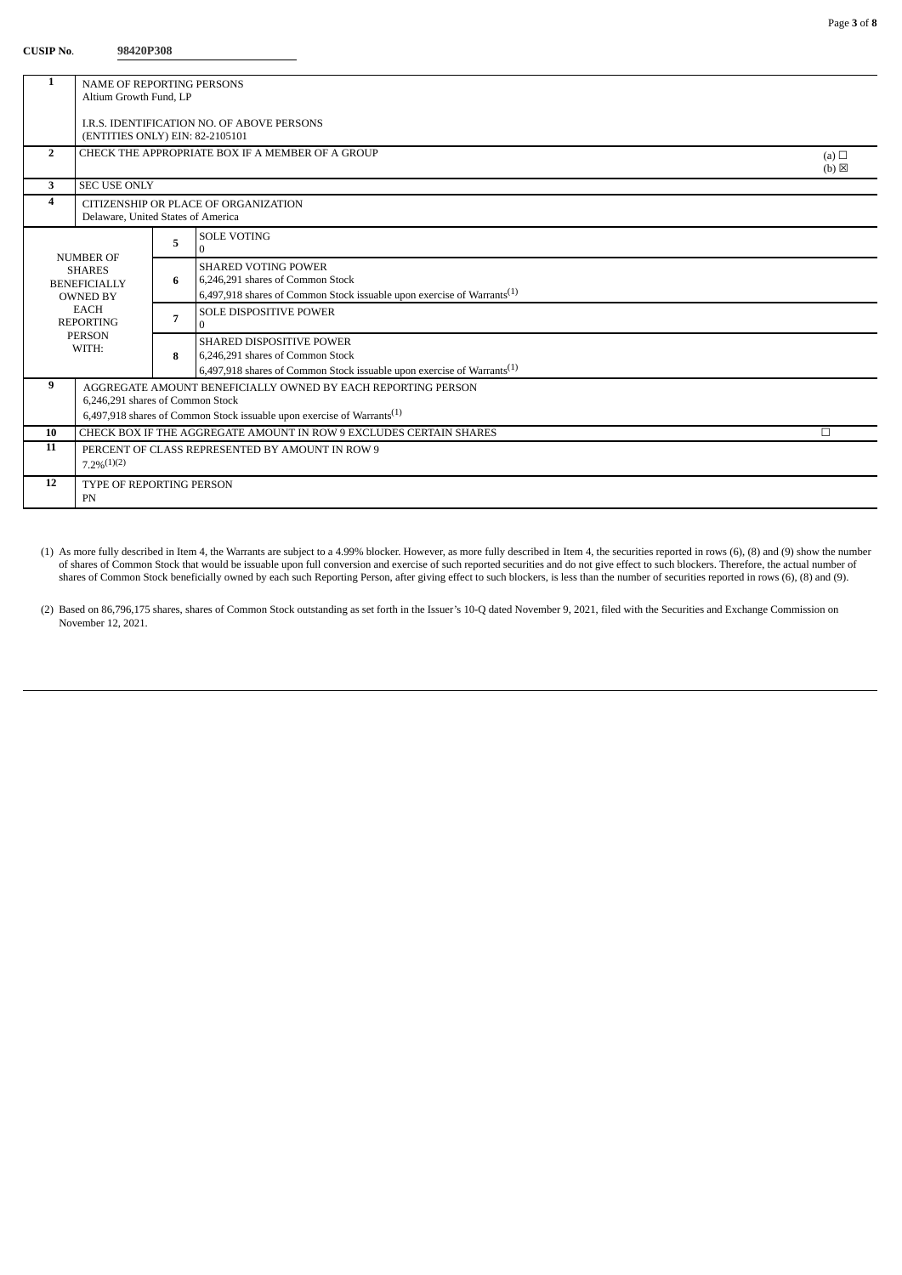## **CUSIP No**. **98420P308**

| 1                       | <b>NAME OF REPORTING PERSONS</b>                                                   |                |                                                                                    |                   |  |
|-------------------------|------------------------------------------------------------------------------------|----------------|------------------------------------------------------------------------------------|-------------------|--|
|                         | Altium Growth Fund, LP                                                             |                |                                                                                    |                   |  |
|                         |                                                                                    |                |                                                                                    |                   |  |
|                         | LR.S. IDENTIFICATION NO. OF ABOVE PERSONS<br>(ENTITIES ONLY) EIN: 82-2105101       |                |                                                                                    |                   |  |
| $\overline{2}$          | CHECK THE APPROPRIATE BOX IF A MEMBER OF A GROUP                                   |                |                                                                                    |                   |  |
|                         | (a) $\Box$                                                                         |                |                                                                                    | $(b)$ $\boxtimes$ |  |
| 3                       | <b>SEC USE ONLY</b>                                                                |                |                                                                                    |                   |  |
| $\overline{\mathbf{4}}$ | CITIZENSHIP OR PLACE OF ORGANIZATION                                               |                |                                                                                    |                   |  |
|                         | Delaware, United States of America                                                 |                |                                                                                    |                   |  |
|                         |                                                                                    |                | <b>SOLE VOTING</b>                                                                 |                   |  |
|                         |                                                                                    | 5              | $\Omega$                                                                           |                   |  |
|                         | <b>NUMBER OF</b><br><b>SHARES</b>                                                  |                | <b>SHARED VOTING POWER</b>                                                         |                   |  |
|                         | <b>BENEFICIALLY</b>                                                                | 6              | 6.246.291 shares of Common Stock                                                   |                   |  |
|                         | <b>OWNED BY</b>                                                                    |                | 6,497,918 shares of Common Stock issuable upon exercise of Warrants <sup>(1)</sup> |                   |  |
|                         | <b>EACH</b>                                                                        | $\overline{7}$ | <b>SOLE DISPOSITIVE POWER</b>                                                      |                   |  |
|                         | <b>REPORTING</b>                                                                   |                | $\Omega$                                                                           |                   |  |
|                         | <b>PERSON</b><br>WITH:                                                             |                | <b>SHARED DISPOSITIVE POWER</b>                                                    |                   |  |
|                         |                                                                                    |                | 6,246,291 shares of Common Stock                                                   |                   |  |
|                         |                                                                                    |                | 6,497,918 shares of Common Stock issuable upon exercise of Warrants <sup>(1)</sup> |                   |  |
| 9                       | AGGREGATE AMOUNT BENEFICIALLY OWNED BY EACH REPORTING PERSON                       |                |                                                                                    |                   |  |
|                         | 6,246,291 shares of Common Stock                                                   |                |                                                                                    |                   |  |
|                         | 6,497,918 shares of Common Stock issuable upon exercise of Warrants <sup>(1)</sup> |                |                                                                                    |                   |  |
| 10                      |                                                                                    |                | CHECK BOX IF THE AGGREGATE AMOUNT IN ROW 9 EXCLUDES CERTAIN SHARES                 | П                 |  |
| 11                      |                                                                                    |                | PERCENT OF CLASS REPRESENTED BY AMOUNT IN ROW 9                                    |                   |  |
|                         | 7.29(1)(2)                                                                         |                |                                                                                    |                   |  |
| 12                      | <b>TYPE OF REPORTING PERSON</b>                                                    |                |                                                                                    |                   |  |
|                         | PN                                                                                 |                |                                                                                    |                   |  |

(1) As more fully described in Item 4, the Warrants are subject to a 4.99% blocker. However, as more fully described in Item 4, the securities reported in rows (6), (8) and (9) show the number of shares of Common Stock that would be issuable upon full conversion and exercise of such reported securities and do not give effect to such blockers. Therefore, the actual number of shares of Common Stock beneficially owned by each such Reporting Person, after giving effect to such blockers, is less than the number of securities reported in rows (6), (8) and (9).

(2) Based on 86,796,175 shares, shares of Common Stock outstanding as set forth in the Issuer's 10-Q dated November 9, 2021, filed with the Securities and Exchange Commission on November 12, 2021.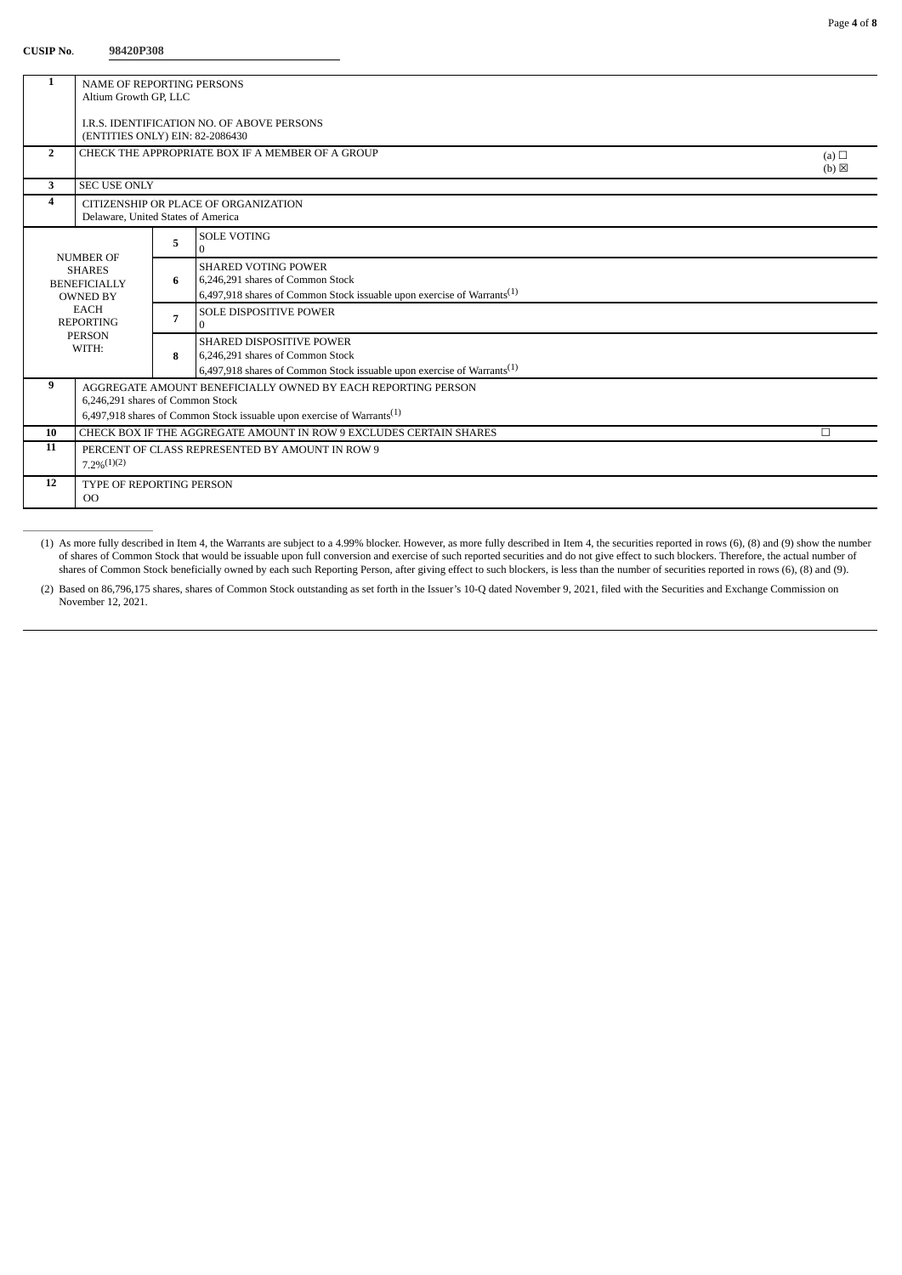## **CUSIP No**. **98420P308**

| 1              | <b>NAME OF REPORTING PERSONS</b>                                                   |   |                                                                                    |                 |  |
|----------------|------------------------------------------------------------------------------------|---|------------------------------------------------------------------------------------|-----------------|--|
|                | Altium Growth GP, LLC                                                              |   |                                                                                    |                 |  |
|                | I.R.S. IDENTIFICATION NO. OF ABOVE PERSONS                                         |   |                                                                                    |                 |  |
|                | (ENTITIES ONLY) EIN: 82-2086430                                                    |   |                                                                                    |                 |  |
| $\overline{2}$ | CHECK THE APPROPRIATE BOX IF A MEMBER OF A GROUP<br>(a) $\Box$                     |   |                                                                                    |                 |  |
|                |                                                                                    |   |                                                                                    | $(b) \boxtimes$ |  |
| 3              | <b>SEC USE ONLY</b>                                                                |   |                                                                                    |                 |  |
| 4              | CITIZENSHIP OR PLACE OF ORGANIZATION                                               |   |                                                                                    |                 |  |
|                | Delaware, United States of America                                                 |   |                                                                                    |                 |  |
|                |                                                                                    | 5 | <b>SOLE VOTING</b>                                                                 |                 |  |
|                | <b>NUMBER OF</b>                                                                   |   | $\Omega$                                                                           |                 |  |
|                | <b>SHARES</b>                                                                      | 6 | <b>SHARED VOTING POWER</b><br>6,246,291 shares of Common Stock                     |                 |  |
|                | <b>BENEFICIALLY</b><br><b>OWNED BY</b>                                             |   | 6,497,918 shares of Common Stock issuable upon exercise of Warrants <sup>(1)</sup> |                 |  |
|                | <b>EACH</b>                                                                        |   | <b>SOLE DISPOSITIVE POWER</b>                                                      |                 |  |
|                | <b>REPORTING</b>                                                                   |   | $\Omega$                                                                           |                 |  |
|                | <b>PERSON</b>                                                                      |   | <b>SHARED DISPOSITIVE POWER</b>                                                    |                 |  |
|                | WITH:                                                                              |   | 6,246,291 shares of Common Stock                                                   |                 |  |
|                |                                                                                    |   | 6,497,918 shares of Common Stock issuable upon exercise of Warrants <sup>(1)</sup> |                 |  |
| 9              | AGGREGATE AMOUNT BENEFICIALLY OWNED BY EACH REPORTING PERSON                       |   |                                                                                    |                 |  |
|                | 6,246,291 shares of Common Stock                                                   |   |                                                                                    |                 |  |
|                | 6,497,918 shares of Common Stock issuable upon exercise of Warrants <sup>(1)</sup> |   |                                                                                    |                 |  |
| 10             | CHECK BOX IF THE AGGREGATE AMOUNT IN ROW 9 EXCLUDES CERTAIN SHARES<br>П            |   |                                                                                    |                 |  |
| 11             |                                                                                    |   | PERCENT OF CLASS REPRESENTED BY AMOUNT IN ROW 9                                    |                 |  |
|                | $7.2\%/1)(2)$                                                                      |   |                                                                                    |                 |  |
| 12             | <b>TYPE OF REPORTING PERSON</b>                                                    |   |                                                                                    |                 |  |
|                | $_{\rm OO}$                                                                        |   |                                                                                    |                 |  |

(1) As more fully described in Item 4, the Warrants are subject to a 4.99% blocker. However, as more fully described in Item 4, the securities reported in rows (6), (8) and (9) show the number of shares of Common Stock that would be issuable upon full conversion and exercise of such reported securities and do not give effect to such blockers. Therefore, the actual number of shares of Common Stock beneficially owned by each such Reporting Person, after giving effect to such blockers, is less than the number of securities reported in rows (6), (8) and (9).

(2) Based on 86,796,175 shares, shares of Common Stock outstanding as set forth in the Issuer's 10-Q dated November 9, 2021, filed with the Securities and Exchange Commission on November 12, 2021.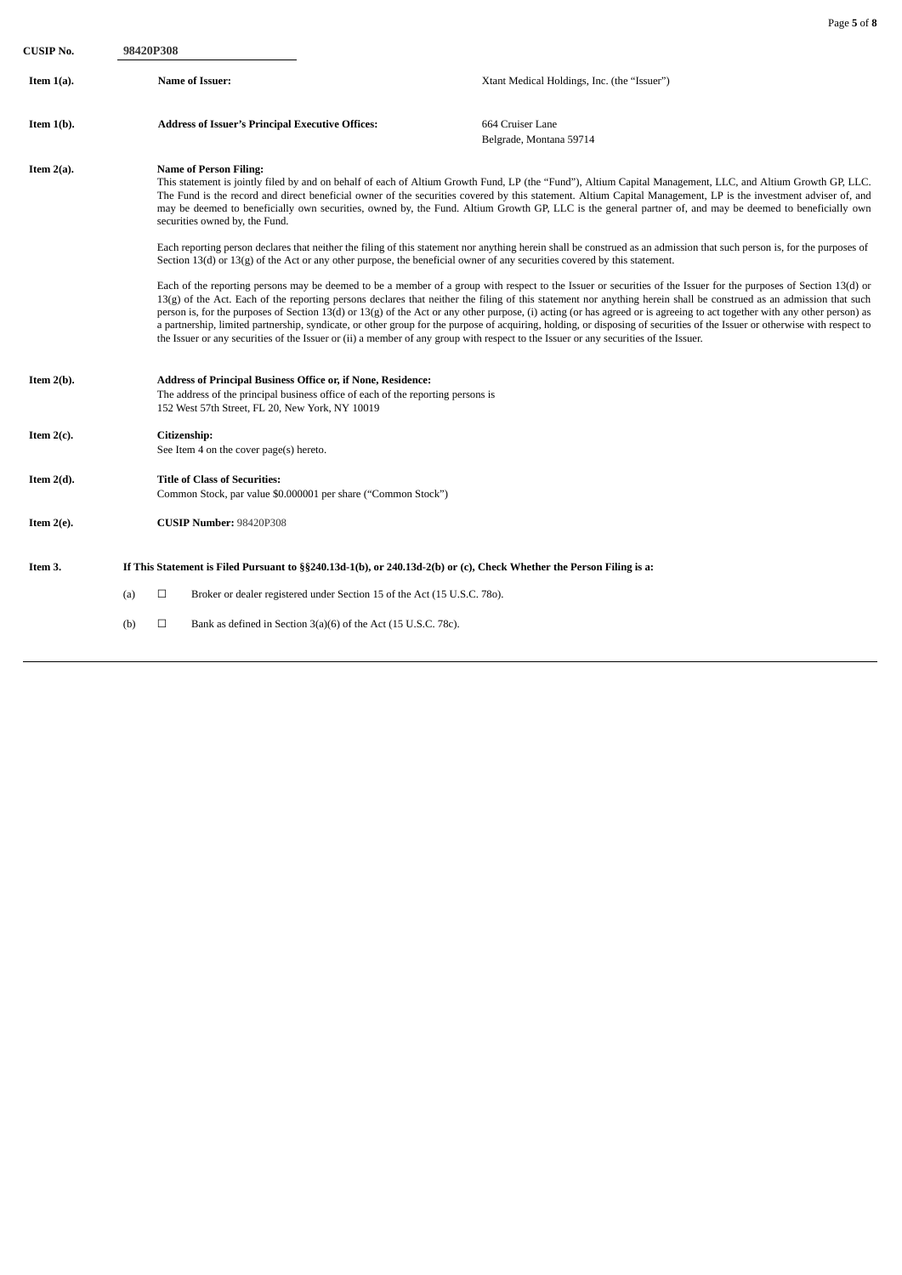| CUSIP No.     | 98420P308 |                                                                                                                                                                                                                                                                                                                                                                                                                                                                                                                                                                                                                                                                                                                                           |                                                                          |                                                                                                                                                                                                                                                                                                                                                                                                                                                                                                                                                                                                                                                                                                                                                                                                                                                                                                                                                                              |  |
|---------------|-----------|-------------------------------------------------------------------------------------------------------------------------------------------------------------------------------------------------------------------------------------------------------------------------------------------------------------------------------------------------------------------------------------------------------------------------------------------------------------------------------------------------------------------------------------------------------------------------------------------------------------------------------------------------------------------------------------------------------------------------------------------|--------------------------------------------------------------------------|------------------------------------------------------------------------------------------------------------------------------------------------------------------------------------------------------------------------------------------------------------------------------------------------------------------------------------------------------------------------------------------------------------------------------------------------------------------------------------------------------------------------------------------------------------------------------------------------------------------------------------------------------------------------------------------------------------------------------------------------------------------------------------------------------------------------------------------------------------------------------------------------------------------------------------------------------------------------------|--|
| Item $1(a)$ . |           | <b>Name of Issuer:</b>                                                                                                                                                                                                                                                                                                                                                                                                                                                                                                                                                                                                                                                                                                                    |                                                                          | Xtant Medical Holdings, Inc. (the "Issuer")                                                                                                                                                                                                                                                                                                                                                                                                                                                                                                                                                                                                                                                                                                                                                                                                                                                                                                                                  |  |
| Item $1(b)$ . |           | <b>Address of Issuer's Principal Executive Offices:</b>                                                                                                                                                                                                                                                                                                                                                                                                                                                                                                                                                                                                                                                                                   |                                                                          | 664 Cruiser Lane<br>Belgrade, Montana 59714                                                                                                                                                                                                                                                                                                                                                                                                                                                                                                                                                                                                                                                                                                                                                                                                                                                                                                                                  |  |
| Item $2(a)$ . |           | <b>Name of Person Filing:</b><br>This statement is jointly filed by and on behalf of each of Altium Growth Fund, LP (the "Fund"), Altium Capital Management, LLC, and Altium Growth GP, LLC.<br>The Fund is the record and direct beneficial owner of the securities covered by this statement. Altium Capital Management, LP is the investment adviser of, and<br>may be deemed to beneficially own securities, owned by, the Fund. Altium Growth GP, LLC is the general partner of, and may be deemed to beneficially own<br>securities owned by, the Fund.<br>Each reporting person declares that neither the filing of this statement nor anything herein shall be construed as an admission that such person is, for the purposes of |                                                                          |                                                                                                                                                                                                                                                                                                                                                                                                                                                                                                                                                                                                                                                                                                                                                                                                                                                                                                                                                                              |  |
|               |           |                                                                                                                                                                                                                                                                                                                                                                                                                                                                                                                                                                                                                                                                                                                                           |                                                                          | Section $13(d)$ or $13(g)$ of the Act or any other purpose, the beneficial owner of any securities covered by this statement.<br>Each of the reporting persons may be deemed to be a member of a group with respect to the Issuer or securities of the Issuer for the purposes of Section 13(d) or<br>13(g) of the Act. Each of the reporting persons declares that neither the filing of this statement nor anything herein shall be construed as an admission that such<br>person is, for the purposes of Section 13(d) or 13(g) of the Act or any other purpose, (i) acting (or has agreed or is agreeing to act together with any other person) as<br>a partnership, limited partnership, syndicate, or other group for the purpose of acquiring, holding, or disposing of securities of the Issuer or otherwise with respect to<br>the Issuer or any securities of the Issuer or (ii) a member of any group with respect to the Issuer or any securities of the Issuer. |  |
| Item $2(b)$ . |           | Address of Principal Business Office or, if None, Residence:<br>The address of the principal business office of each of the reporting persons is<br>152 West 57th Street, FL 20, New York, NY 10019                                                                                                                                                                                                                                                                                                                                                                                                                                                                                                                                       |                                                                          |                                                                                                                                                                                                                                                                                                                                                                                                                                                                                                                                                                                                                                                                                                                                                                                                                                                                                                                                                                              |  |
| Item $2(c)$ . |           | Citizenship:<br>See Item 4 on the cover page(s) hereto.                                                                                                                                                                                                                                                                                                                                                                                                                                                                                                                                                                                                                                                                                   |                                                                          |                                                                                                                                                                                                                                                                                                                                                                                                                                                                                                                                                                                                                                                                                                                                                                                                                                                                                                                                                                              |  |
| Item $2(d)$ . |           | <b>Title of Class of Securities:</b><br>Common Stock, par value \$0.000001 per share ("Common Stock")                                                                                                                                                                                                                                                                                                                                                                                                                                                                                                                                                                                                                                     |                                                                          |                                                                                                                                                                                                                                                                                                                                                                                                                                                                                                                                                                                                                                                                                                                                                                                                                                                                                                                                                                              |  |
| Item $2(e)$ . |           | CUSIP Number: 98420P308                                                                                                                                                                                                                                                                                                                                                                                                                                                                                                                                                                                                                                                                                                                   |                                                                          |                                                                                                                                                                                                                                                                                                                                                                                                                                                                                                                                                                                                                                                                                                                                                                                                                                                                                                                                                                              |  |
| Item 3.       |           |                                                                                                                                                                                                                                                                                                                                                                                                                                                                                                                                                                                                                                                                                                                                           |                                                                          | If This Statement is Filed Pursuant to §§240.13d-1(b), or 240.13d-2(b) or (c), Check Whether the Person Filing is a:                                                                                                                                                                                                                                                                                                                                                                                                                                                                                                                                                                                                                                                                                                                                                                                                                                                         |  |
|               | (a)       | $\Box$                                                                                                                                                                                                                                                                                                                                                                                                                                                                                                                                                                                                                                                                                                                                    | Broker or dealer registered under Section 15 of the Act (15 U.S.C. 780). |                                                                                                                                                                                                                                                                                                                                                                                                                                                                                                                                                                                                                                                                                                                                                                                                                                                                                                                                                                              |  |
|               | (b)       | $\Box$                                                                                                                                                                                                                                                                                                                                                                                                                                                                                                                                                                                                                                                                                                                                    | Bank as defined in Section 3(a)(6) of the Act (15 U.S.C. 78c).           |                                                                                                                                                                                                                                                                                                                                                                                                                                                                                                                                                                                                                                                                                                                                                                                                                                                                                                                                                                              |  |

Page **5** of **8**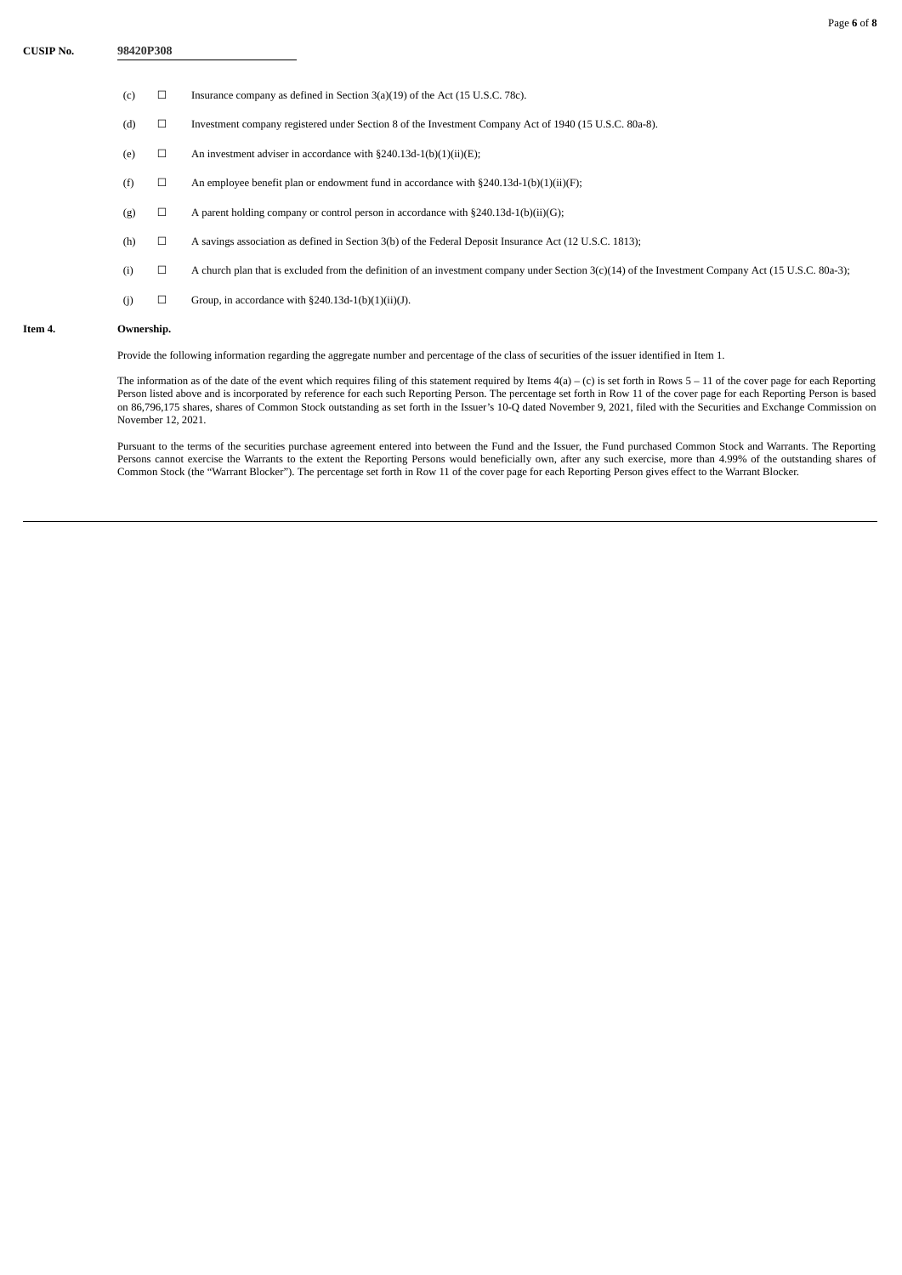- (c)  $\Box$  Insurance company as defined in Section 3(a)(19) of the Act (15 U.S.C. 78c).
- (d) ☐ Investment company registered under Section 8 of the Investment Company Act of 1940 (15 U.S.C. 80a-8).
- (e)  $\Box$  An investment adviser in accordance with §240.13d-1(b)(1)(ii)(E);
- (f)  $\Box$  An employee benefit plan or endowment fund in accordance with §240.13d-1(b)(1)(ii)(F);
- (g)  $\Box$  A parent holding company or control person in accordance with §240.13d-1(b)(ii)(G);
- (h) ☐ A savings association as defined in Section 3(b) of the Federal Deposit Insurance Act (12 U.S.C. 1813);
- (i) ☐ A church plan that is excluded from the definition of an investment company under Section 3(c)(14) of the Investment Company Act (15 U.S.C. 80a-3);
- (j)  $\Box$  Group, in accordance with §240.13d-1(b)(1)(ii)(J).

## **Item 4. Ownership.**

Provide the following information regarding the aggregate number and percentage of the class of securities of the issuer identified in Item 1.

The information as of the date of the event which requires filing of this statement required by Items 4(a) – (c) is set forth in Rows 5 – 11 of the cover page for each Reporting Person listed above and is incorporated by reference for each such Reporting Person. The percentage set forth in Row 11 of the cover page for each Reporting Person is based on 86,796,175 shares, shares of Common Stock outstanding as set forth in the Issuer's 10-Q dated November 9, 2021, filed with the Securities and Exchange Commission on November 12, 2021.

Pursuant to the terms of the securities purchase agreement entered into between the Fund and the Issuer, the Fund purchased Common Stock and Warrants. The Reporting Persons cannot exercise the Warrants to the extent the Reporting Persons would beneficially own, after any such exercise, more than 4.99% of the outstanding shares of Common Stock (the "Warrant Blocker"). The percentage set forth in Row 11 of the cover page for each Reporting Person gives effect to the Warrant Blocker.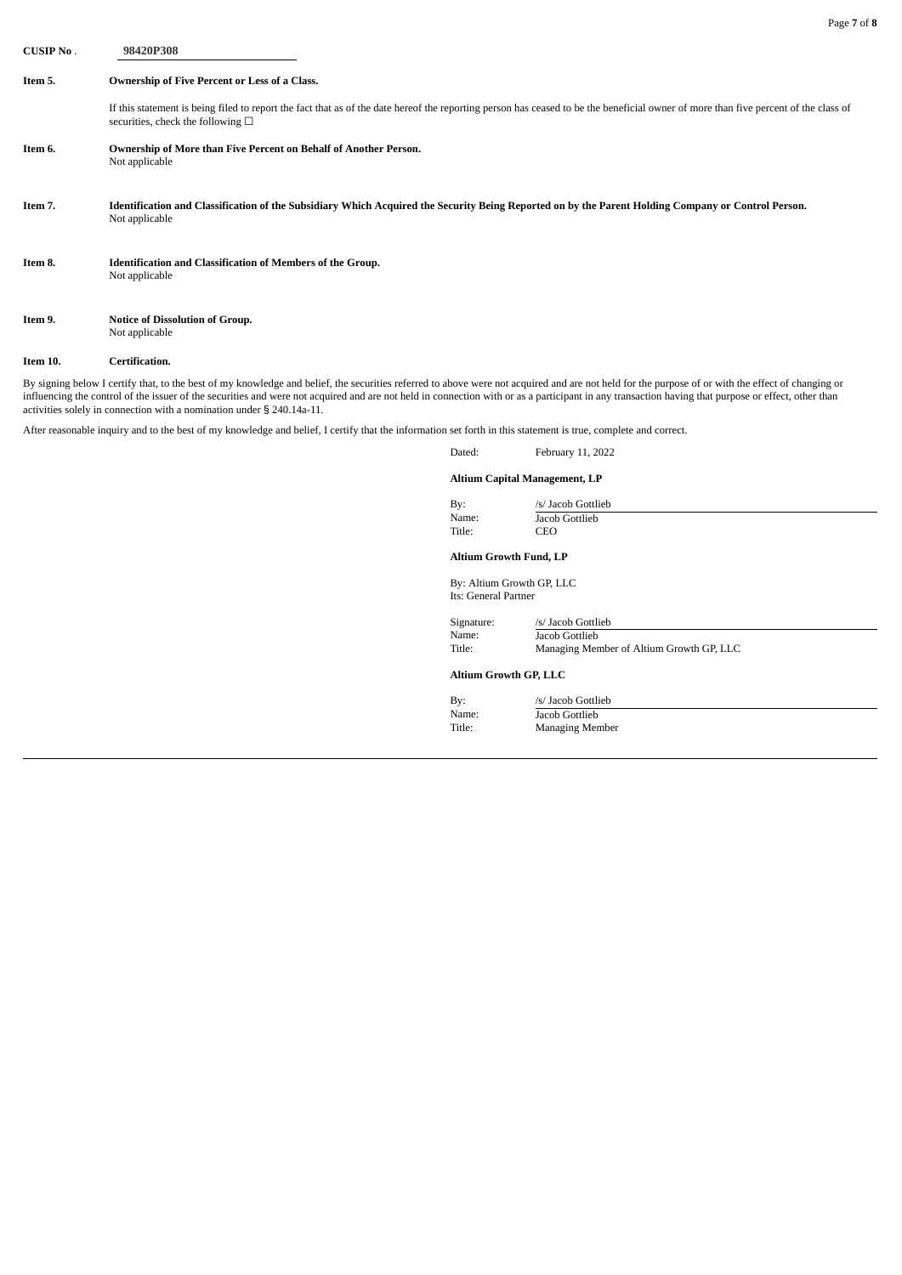**CUSIP No** . **98420P308 Item 5. Ownership of Five Percent or Less of a Class.** If this statement is being filed to report the fact that as of the date hereof the reporting person has ceased to be the beneficial owner of more than five percent of the class of securities, check the following  $\Box$ **Item 6. Ownership of More than Five Percent on Behalf of Another Person.** Not applicable Item 7. Identification and Classification of the Subsidiary Which Acquired the Security Being Reported on by the Parent Holding Company or Control Person. Not applicable **Item 8. Identification and Classification of Members of the Group.** Not applicable **Item 9. Notice of Dissolution of Group.** Not applicable

## **Item 10. Certification.**

By signing below I certify that, to the best of my knowledge and belief, the securities referred to above were not acquired and are not held for the purpose of or with the effect of changing or influencing the control of the issuer of the securities and were not acquired and are not held in connection with or as a participant in any transaction having that purpose or effect, other than activities solely in connection with a nomination under § 240.14a-11.

After reasonable inquiry and to the best of my knowledge and belief, I certify that the information set forth in this statement is true, complete and correct.

| Dated: | February 11, 2022 |
|--------|-------------------|
|--------|-------------------|

## **Altium Capital Management, LP**

| By:    | /s/ Jacob Gottlieb |  |
|--------|--------------------|--|
| Name:  | Jacob Gottlieb     |  |
| Title: | CEO                |  |

#### **Altium Growth Fund, LP**

By: Altium Growth GP, LLC Its: General Partner

| Signature: | /s/ Jacob Gottlieb                       |
|------------|------------------------------------------|
| Name:      | Jacob Gottlieb                           |
| Title:     | Managing Member of Altium Growth GP, LLC |

#### **Altium Growth GP, LLC**

| By:    | /s/ Jacob Gottlieb |
|--------|--------------------|
| Name:  | Jacob Gottlieb     |
| Title: | Managing Member    |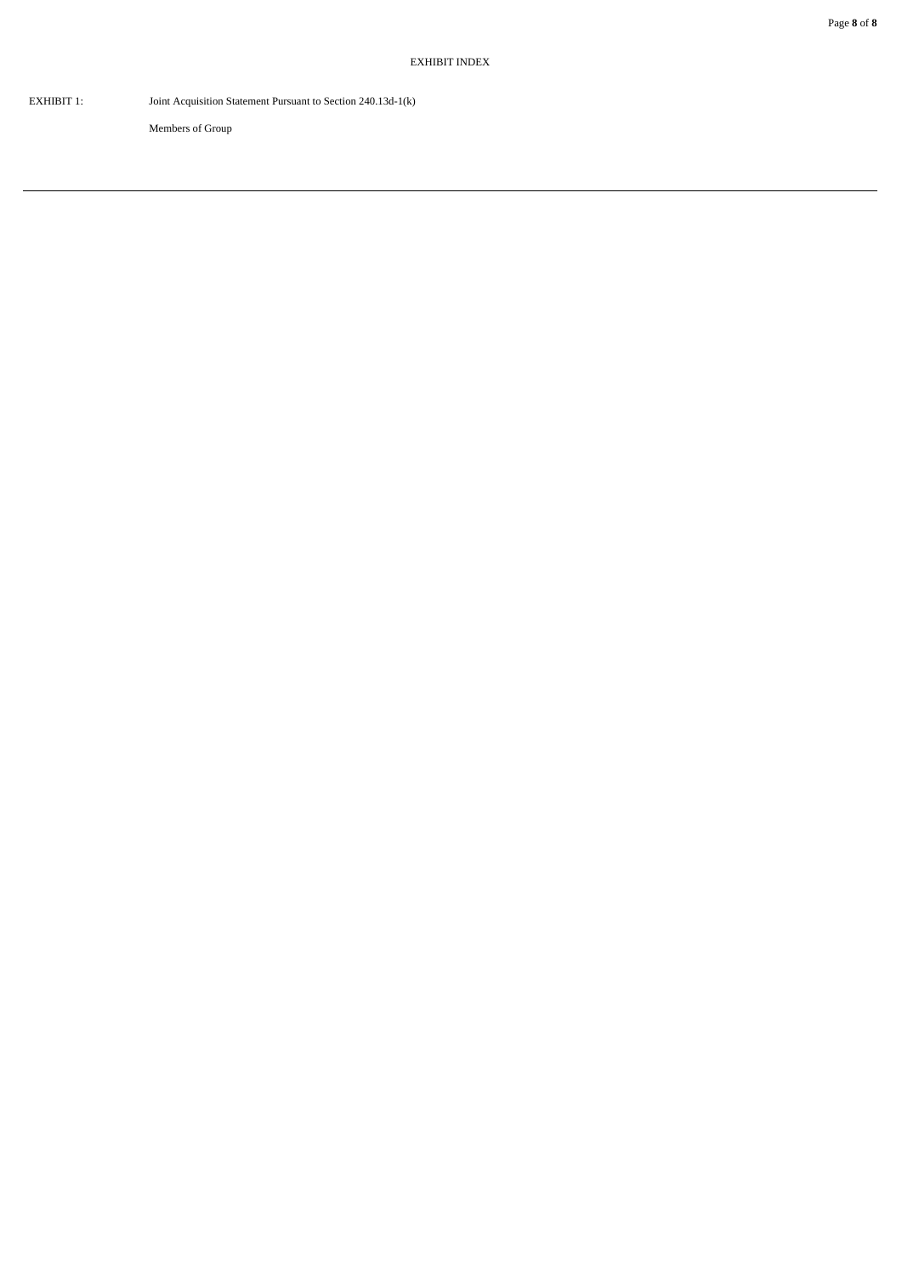EXHIBIT 1: Joint Acquisition Statement Pursuant to Section 240.13d-1(k)

Members of Group